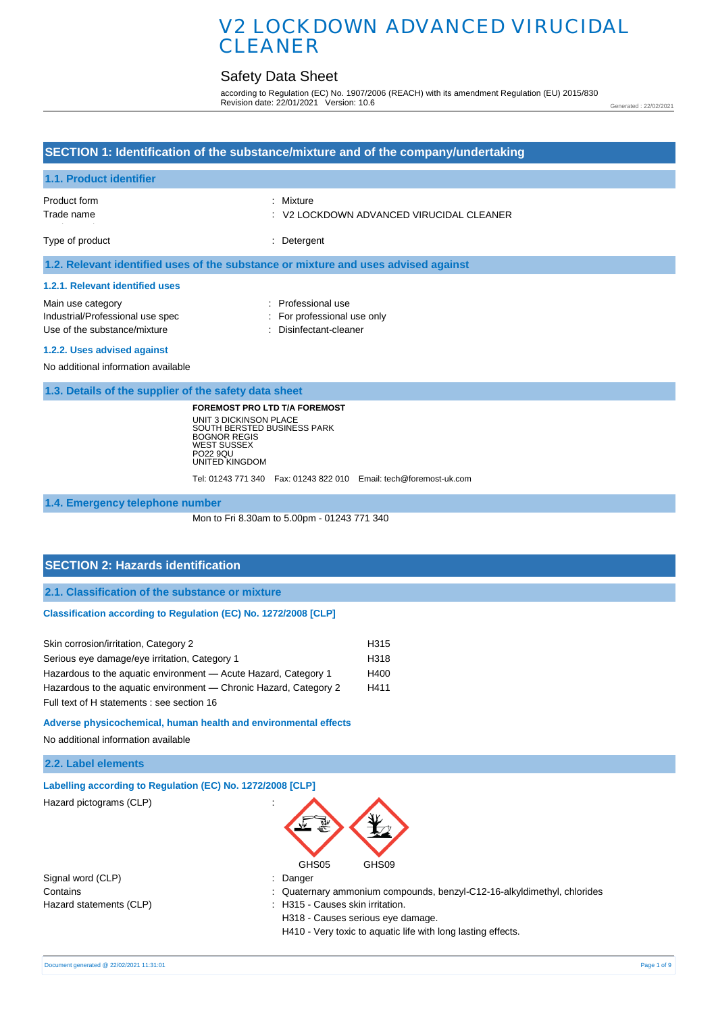# Safety Data Sheet

according to Regulation (EC) No. 1907/2006 (REACH) with its amendment Regulation (EU) 2015/830 Revision date: 22/01/2021 Version: 10.6

Generated : 22/02/2021

| SECTION 1: Identification of the substance/mixture and of the company/undertaking                                                                                                                                                                                            |                                                                             |  |  |
|------------------------------------------------------------------------------------------------------------------------------------------------------------------------------------------------------------------------------------------------------------------------------|-----------------------------------------------------------------------------|--|--|
| 1.1. Product identifier                                                                                                                                                                                                                                                      |                                                                             |  |  |
| Product form<br>Trade name                                                                                                                                                                                                                                                   | : Mixture<br>V2 LOCKDOWN ADVANCED VIRUCIDAL CLEANER                         |  |  |
| Type of product                                                                                                                                                                                                                                                              | : Detergent                                                                 |  |  |
| 1.2. Relevant identified uses of the substance or mixture and uses advised against                                                                                                                                                                                           |                                                                             |  |  |
| 1.2.1. Relevant identified uses                                                                                                                                                                                                                                              |                                                                             |  |  |
| Main use category<br>Industrial/Professional use spec<br>Use of the substance/mixture                                                                                                                                                                                        | : Professional use<br>: For professional use only<br>: Disinfectant-cleaner |  |  |
| 1.2.2. Uses advised against<br>No additional information available                                                                                                                                                                                                           |                                                                             |  |  |
| 1.3. Details of the supplier of the safety data sheet                                                                                                                                                                                                                        |                                                                             |  |  |
| <b>FOREMOST PRO LTD T/A FOREMOST</b><br>UNIT 3 DICKINSON PLACE<br>SOUTH BERSTED BUSINESS PARK<br><b>BOGNOR REGIS</b><br><b>WEST SUSSEX</b><br>PO22 9QU<br>UNITED KINGDOM                                                                                                     | Tel: 01243 771 340  Fax: 01243 822 010  Email: tech@foremost-uk.com         |  |  |
| 1.4. Emergency telephone number                                                                                                                                                                                                                                              |                                                                             |  |  |
|                                                                                                                                                                                                                                                                              | Mon to Fri 8.30am to 5.00pm - 01243 771 340                                 |  |  |
| <b>SECTION 2: Hazards identification</b>                                                                                                                                                                                                                                     |                                                                             |  |  |
| 2.1. Classification of the substance or mixture                                                                                                                                                                                                                              |                                                                             |  |  |
| Classification according to Regulation (EC) No. 1272/2008 [CLP]                                                                                                                                                                                                              |                                                                             |  |  |
| Skin corrosion/irritation, Category 2<br>Serious eye damage/eye irritation, Category 1<br>Hazardous to the aquatic environment - Acute Hazard, Category 1<br>Hazardous to the aquatic environment - Chronic Hazard, Category 2<br>Full text of H statements : see section 16 | H315<br>H318<br>H400<br>H411                                                |  |  |
| Adverse physicochemical, human health and environmental effects                                                                                                                                                                                                              |                                                                             |  |  |

No additional information available

### **2.2. Label elements**

| Labelling according to Regulation (EC) No. 1272/2008 [CLP] |                                                                         |
|------------------------------------------------------------|-------------------------------------------------------------------------|
| Hazard pictograms (CLP)                                    | $\overline{\phantom{a}}$<br>GHS05<br>GHS09                              |
|                                                            |                                                                         |
| Signal word (CLP)                                          | : Danger                                                                |
| Contains                                                   | : Quaternary ammonium compounds, benzyl-C12-16-alkyldimethyl, chlorides |
| Hazard statements (CLP)                                    | : H315 - Causes skin irritation.                                        |
|                                                            | H318 - Causes serious eye damage.                                       |
|                                                            | H410 - Very toxic to aquatic life with long lasting effects.            |
|                                                            |                                                                         |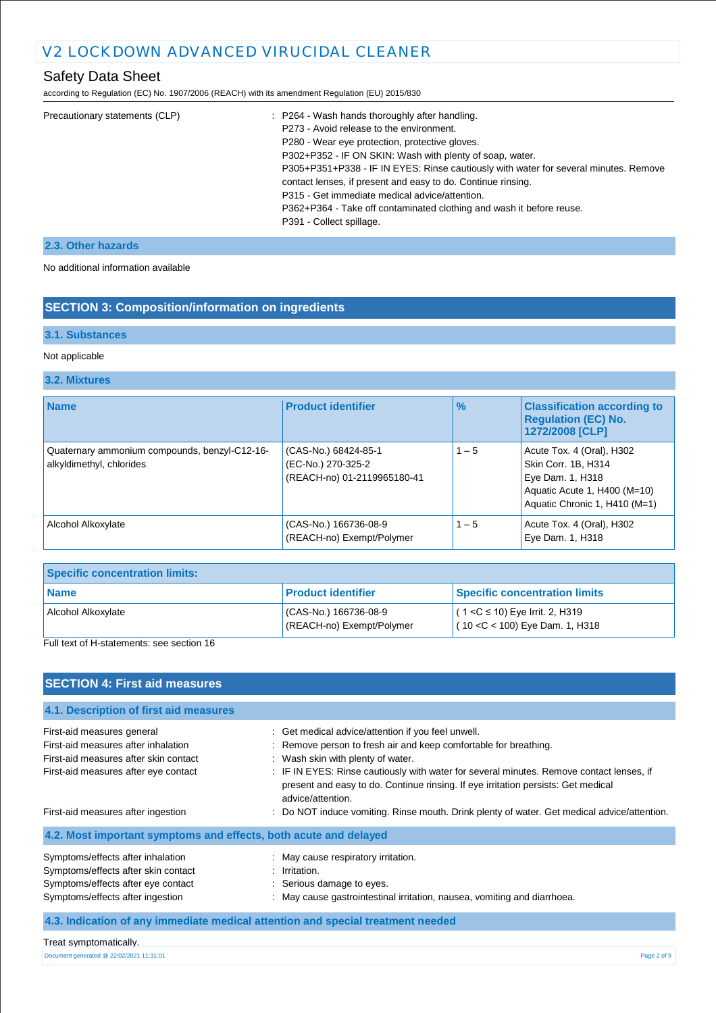# Safety Data Sheet

according to Regulation (EC) No. 1907/2006 (REACH) with its amendment Regulation (EU) 2015/830

| Precautionary statements (CLP) | : P264 - Wash hands thoroughly after handling.                                       |
|--------------------------------|--------------------------------------------------------------------------------------|
|                                | P273 - Avoid release to the environment.                                             |
|                                | P280 - Wear eye protection, protective gloves.                                       |
|                                | P302+P352 - IF ON SKIN: Wash with plenty of soap, water.                             |
|                                | P305+P351+P338 - IF IN EYES: Rinse cautiously with water for several minutes. Remove |
|                                | contact lenses, if present and easy to do. Continue rinsing.                         |
|                                | P315 - Get immediate medical advice/attention.                                       |
|                                | P362+P364 - Take off contaminated clothing and wash it before reuse.                 |
|                                | P391 - Collect spillage.                                                             |
|                                |                                                                                      |

### **2.3. Other hazards**

No additional information available

### **SECTION 3: Composition/information on ingredients**

### **3.1. Substances**

#### Not applicable

#### **3.2. Mixtures**

| <b>Name</b>                                                               | <b>Product identifier</b>                                                 | $\frac{9}{6}$ | <b>Classification according to</b><br><b>Requlation (EC) No.</b><br>1272/2008 [CLP]                                                   |
|---------------------------------------------------------------------------|---------------------------------------------------------------------------|---------------|---------------------------------------------------------------------------------------------------------------------------------------|
| Quaternary ammonium compounds, benzyl-C12-16-<br>alkyldimethyl, chlorides | (CAS-No.) 68424-85-1<br>(EC-No.) 270-325-2<br>(REACH-no) 01-2119965180-41 | $1 - 5$       | Acute Tox. 4 (Oral), H302<br>Skin Corr. 1B, H314<br>Eye Dam. 1, H318<br>Aquatic Acute 1, H400 (M=10)<br>Aquatic Chronic 1, H410 (M=1) |
| Alcohol Alkoxylate                                                        | (CAS-No.) 166736-08-9<br>(REACH-no) Exempt/Polymer                        | $1 - 5$       | Acute Tox. 4 (Oral), H302<br>Eye Dam. 1, H318                                                                                         |

| <b>Specific concentration limits:</b> |                                                      |                                                                          |  |  |
|---------------------------------------|------------------------------------------------------|--------------------------------------------------------------------------|--|--|
| <b>Name</b>                           | <b>Product identifier</b>                            | <b>Specific concentration limits</b>                                     |  |  |
| Alcohol Alkoxylate                    | $(CAS-No.) 166736-08-9$<br>(REACH-no) Exempt/Polymer | $(1 < C \le 10)$ Eye Irrit. 2, H319<br>$(10 < C < 100)$ Eye Dam. 1, H318 |  |  |

Full text of H-statements: see section 16

| <b>SECTION 4: First aid measures</b>                                                                                                               |                                                                                                                                                                                                                                                                                                                                                                 |
|----------------------------------------------------------------------------------------------------------------------------------------------------|-----------------------------------------------------------------------------------------------------------------------------------------------------------------------------------------------------------------------------------------------------------------------------------------------------------------------------------------------------------------|
| 4.1. Description of first aid measures                                                                                                             |                                                                                                                                                                                                                                                                                                                                                                 |
| First-aid measures general<br>First-aid measures after inhalation<br>First-aid measures after skin contact<br>First-aid measures after eye contact | : Get medical advice/attention if you feel unwell.<br>Remove person to fresh air and keep comfortable for breathing.<br>: Wash skin with plenty of water.<br>: IF IN EYES: Rinse cautiously with water for several minutes. Remove contact lenses, if<br>present and easy to do. Continue rinsing. If eye irritation persists: Get medical<br>advice/attention. |
| First-aid measures after ingestion                                                                                                                 | : Do NOT induce vomiting. Rinse mouth. Drink plenty of water. Get medical advice/attention.                                                                                                                                                                                                                                                                     |
| 4.2. Most important symptoms and effects, both acute and delayed                                                                                   |                                                                                                                                                                                                                                                                                                                                                                 |
| Symptoms/effects after inhalation<br>Symptoms/effects after skin contact<br>Symptoms/effects after eye contact<br>Symptoms/effects after ingestion | : May cause respiratory irritation.<br>: Irritation.<br>: Serious damage to eyes.<br>: May cause gastrointestinal irritation, nausea, vomiting and diarrhoea.                                                                                                                                                                                                   |
|                                                                                                                                                    | 4.3. Indication of any immediate medical attention and special treatment needed                                                                                                                                                                                                                                                                                 |

#### Treat symptomatically.

Document generated @ 22/02/2021 11:31:01 Page 2 of 9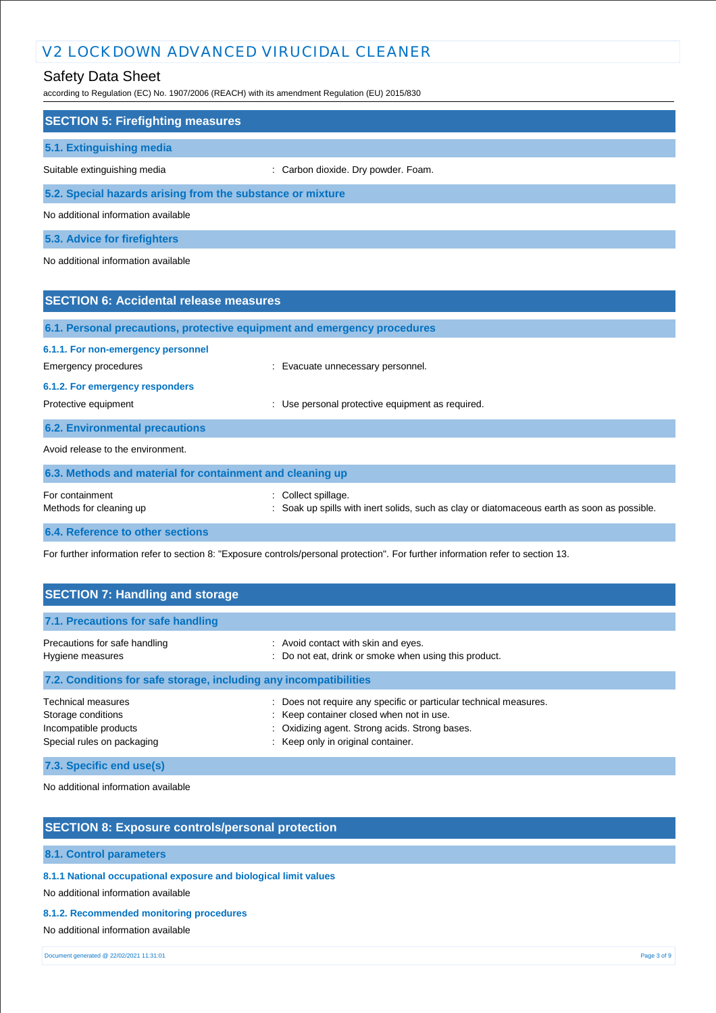# Safety Data Sheet

according to Regulation (EC) No. 1907/2006 (REACH) with its amendment Regulation (EU) 2015/830

| <b>SECTION 5: Firefighting measures</b>                                  |                                                |
|--------------------------------------------------------------------------|------------------------------------------------|
| 5.1. Extinguishing media                                                 |                                                |
| Suitable extinguishing media                                             | : Carbon dioxide. Dry powder. Foam.            |
| 5.2. Special hazards arising from the substance or mixture               |                                                |
| No additional information available                                      |                                                |
| 5.3. Advice for firefighters                                             |                                                |
| No additional information available                                      |                                                |
|                                                                          |                                                |
| <b>SECTION 6: Accidental release measures</b>                            |                                                |
| 6.1. Personal precautions, protective equipment and emergency procedures |                                                |
| 6.1.1. For non-emergency personnel                                       |                                                |
| <b>Emergency procedures</b>                                              | Evacuate unnecessary personnel.                |
| 6.1.2. For emergency responders                                          |                                                |
| Protective equipment                                                     | Use personal protective equipment as required. |
| <b>6.2. Environmental precautions</b>                                    |                                                |
| Avoid release to the environment.                                        |                                                |
|                                                                          |                                                |

| 6.3. Methods and material for containment and cleaning up |                                                                                                                    |  |  |  |
|-----------------------------------------------------------|--------------------------------------------------------------------------------------------------------------------|--|--|--|
| For containment<br>Methods for cleaning up                | : Collect spillage.<br>: Soak up spills with inert solids, such as clay or diatomaceous earth as soon as possible. |  |  |  |
|                                                           |                                                                                                                    |  |  |  |

**6.4. Reference to other sections**

For further information refer to section 8: "Exposure controls/personal protection". For further information refer to section 13.

| <b>SECTION 7: Handling and storage</b>                                                  |                                                                                                                                  |  |  |  |
|-----------------------------------------------------------------------------------------|----------------------------------------------------------------------------------------------------------------------------------|--|--|--|
| 7.1. Precautions for safe handling                                                      |                                                                                                                                  |  |  |  |
| Precautions for safe handling<br>Hygiene measures                                       | : Avoid contact with skin and eyes.<br>: Do not eat, drink or smoke when using this product.                                     |  |  |  |
| 7.2. Conditions for safe storage, including any incompatibilities<br>Technical measures | : Does not require any specific or particular technical measures.                                                                |  |  |  |
| Storage conditions<br>Incompatible products<br>Special rules on packaging               | : Keep container closed when not in use.<br>: Oxidizing agent. Strong acids. Strong bases.<br>: Keep only in original container. |  |  |  |

**7.3. Specific end use(s)**

No additional information available

### **SECTION 8: Exposure controls/personal protection**

#### **8.1. Control parameters**

**8.1.1 National occupational exposure and biological limit values** 

No additional information available

**8.1.2. Recommended monitoring procedures** 

No additional information available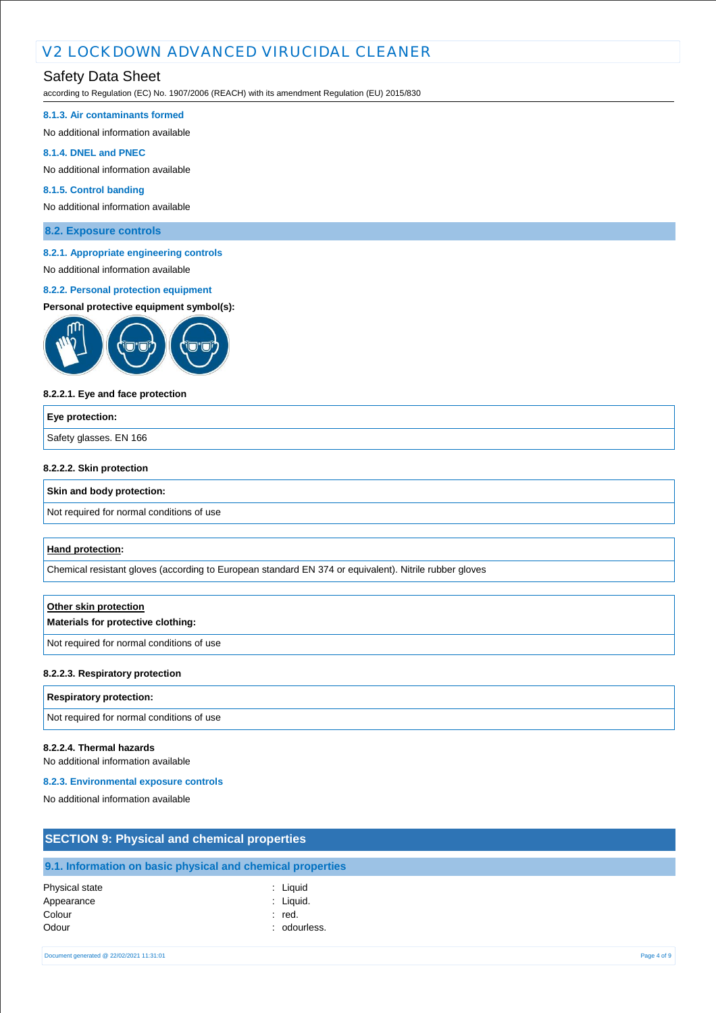# Safety Data Sheet

according to Regulation (EC) No. 1907/2006 (REACH) with its amendment Regulation (EU) 2015/830

#### **8.1.3. Air contaminants formed**

No additional information available

#### **8.1.4. DNEL and PNEC**

No additional information available

#### **8.1.5. Control banding**

No additional information available

**8.2. Exposure controls**

#### **8.2.1. Appropriate engineering controls**

# No additional information available

#### **8.2.2. Personal protection equipment**

#### **Personal protective equipment symbol(s):**



#### **8.2.2.1. Eye and face protection**

# **Eye protection:** Safety glasses. EN 166

#### **8.2.2.2. Skin protection**

#### **Skin and body protection:**

Not required for normal conditions of use

#### **Hand protection:**

Chemical resistant gloves (according to European standard EN 374 or equivalent). Nitrile rubber gloves

# **Other skin protection Materials for protective clothing:** Not required for normal conditions of use

#### **8.2.2.3. Respiratory protection**

#### **Respiratory protection:**

Not required for normal conditions of use

#### **8.2.2.4. Thermal hazards**

No additional information available

#### **8.2.3. Environmental exposure controls**

No additional information available

| <b>SECTION 9: Physical and chemical properties</b> |                                                            |  |  |
|----------------------------------------------------|------------------------------------------------------------|--|--|
|                                                    |                                                            |  |  |
|                                                    | 9.1. Information on basic physical and chemical properties |  |  |
| Physical state                                     | : Liguid                                                   |  |  |
| Appearance                                         | : Liquid.                                                  |  |  |
| Colour                                             | : red.                                                     |  |  |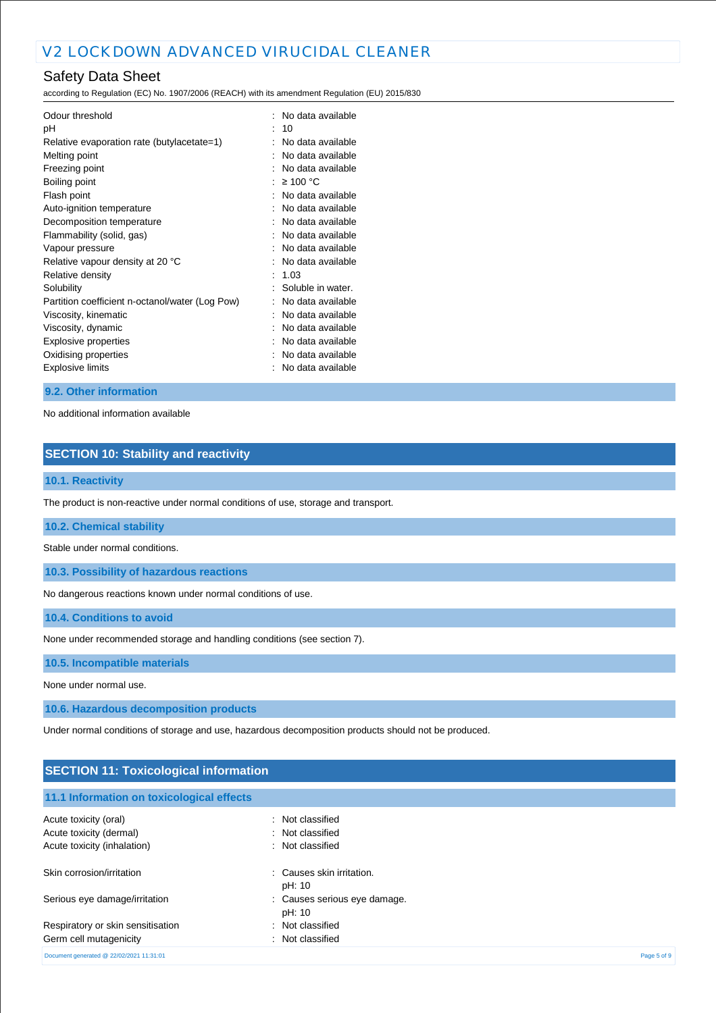according to Regulation (EC) No. 1907/2006 (REACH) with its amendment Regulation (EU) 2015/830

| Odour threshold<br>рH<br>Relative evaporation rate (butylacetate=1) |                      | No data available<br>10<br>No data available |
|---------------------------------------------------------------------|----------------------|----------------------------------------------|
| Melting point                                                       |                      | No data available                            |
| Freezing point                                                      |                      | No data available                            |
| Boiling point                                                       |                      | ≥ 100 °C                                     |
| Flash point                                                         |                      | No data available                            |
| Auto-ignition temperature                                           |                      | No data available                            |
| Decomposition temperature                                           |                      | No data available                            |
| Flammability (solid, gas)                                           |                      | No data available                            |
| Vapour pressure                                                     |                      | No data available                            |
| Relative vapour density at 20 °C                                    |                      | No data available                            |
| Relative density                                                    | $\ddot{\phantom{a}}$ | 1.03                                         |
| Solubility                                                          |                      | Soluble in water.                            |
| Partition coefficient n-octanol/water (Log Pow)                     |                      | No data available                            |
| Viscosity, kinematic                                                |                      | No data available                            |
| Viscosity, dynamic                                                  |                      | No data available                            |
| Explosive properties                                                |                      | No data available                            |
| Oxidising properties                                                |                      | No data available                            |
| Explosive limits                                                    |                      | No data available                            |

#### **9.2. Other information**

No additional information available

# **SECTION 10: Stability and reactivity**

#### **10.1. Reactivity**

The product is non-reactive under normal conditions of use, storage and transport.

**10.2. Chemical stability**

Stable under normal conditions.

**10.3. Possibility of hazardous reactions**

No dangerous reactions known under normal conditions of use.

**10.4. Conditions to avoid**

None under recommended storage and handling conditions (see section 7).

**10.5. Incompatible materials**

None under normal use.

**10.6. Hazardous decomposition products**

Under normal conditions of storage and use, hazardous decomposition products should not be produced.

| <b>SECTION 11: Toxicological information</b> |                                        |             |  |
|----------------------------------------------|----------------------------------------|-------------|--|
| 11.1 Information on toxicological effects    |                                        |             |  |
| Acute toxicity (oral)                        | : Not classified                       |             |  |
| Acute toxicity (dermal)                      | : Not classified                       |             |  |
| Acute toxicity (inhalation)                  | : Not classified                       |             |  |
| Skin corrosion/irritation                    | : Causes skin irritation.<br>pH: 10    |             |  |
| Serious eye damage/irritation                | : Causes serious eye damage.<br>pH: 10 |             |  |
| Respiratory or skin sensitisation            | Not classified<br>÷                    |             |  |
| Germ cell mutagenicity                       | Not classified                         |             |  |
| Document generated @ 22/02/2021 11:31:01     |                                        | Page 5 of 9 |  |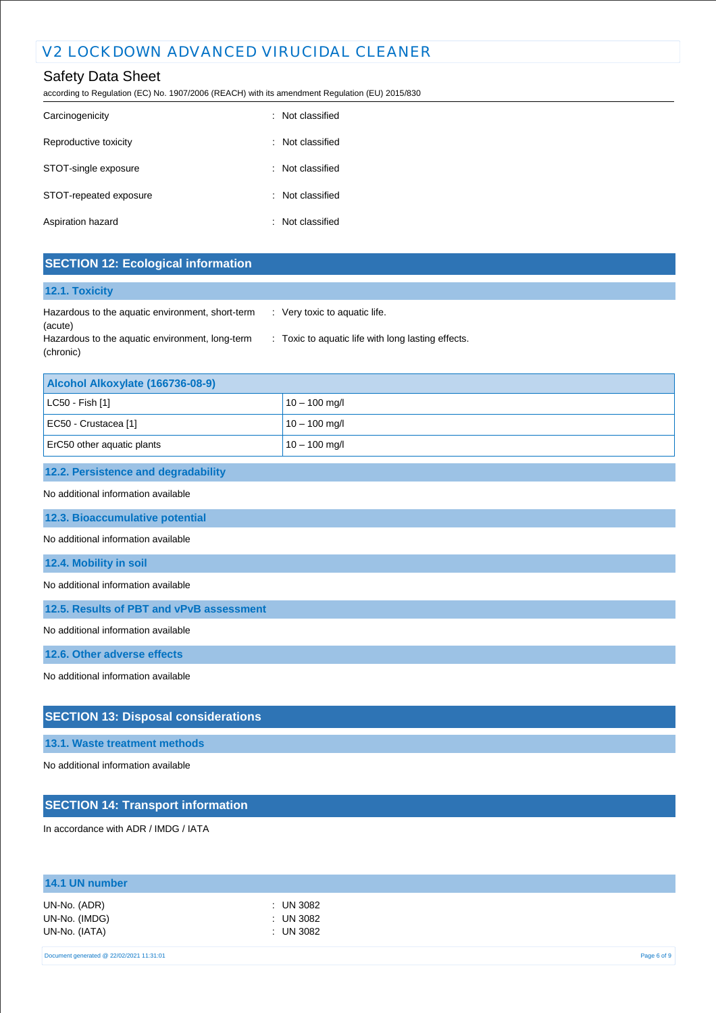## Safety Data Sheet

according to Regulation (EC) No. 1907/2006 (REACH) with its amendment Regulation (EU) 2015/830

| Carcinogenicity        | : Not classified |
|------------------------|------------------|
| Reproductive toxicity  | : Not classified |
| STOT-single exposure   | : Not classified |
| STOT-repeated exposure | : Not classified |
| Aspiration hazard      | : Not classified |

### **SECTION 12: Ecological information**

#### **12.1. Toxicity**

| Hazardous to the aquatic environment, short-term | $\therefore$ Very toxic to aquatic life.           |
|--------------------------------------------------|----------------------------------------------------|
| (acute)                                          |                                                    |
| Hazardous to the aquatic environment, long-term  | : Toxic to aquatic life with long lasting effects. |
| (chronic)                                        |                                                    |

| Alcohol Alkoxylate (166736-08-9) |                 |  |
|----------------------------------|-----------------|--|
| $ $ LC50 - Fish [1]              | $10 - 100$ mg/l |  |
| EC50 - Crustacea [1]             | $10 - 100$ mg/l |  |
| ErC50 other aquatic plants       | $10 - 100$ mg/l |  |

#### **12.2. Persistence and degradability**

#### No additional information available

**12.3. Bioaccumulative potential**

#### No additional information available

#### **12.4. Mobility in soil**

No additional information available

**12.5. Results of PBT and vPvB assessment**

No additional information available

**12.6. Other adverse effects**

No additional information available

### **SECTION 13: Disposal considerations**

#### **13.1. Waste treatment methods**

No additional information available

# **SECTION 14: Transport information**

In accordance with ADR / IMDG / IATA

| 14.1 UN number                                 |                                     |  |
|------------------------------------------------|-------------------------------------|--|
| UN-No. (ADR)<br>UN-No. (IMDG)<br>UN-No. (IATA) | : UN 3082<br>: UN 3082<br>: UN 3082 |  |
|                                                |                                     |  |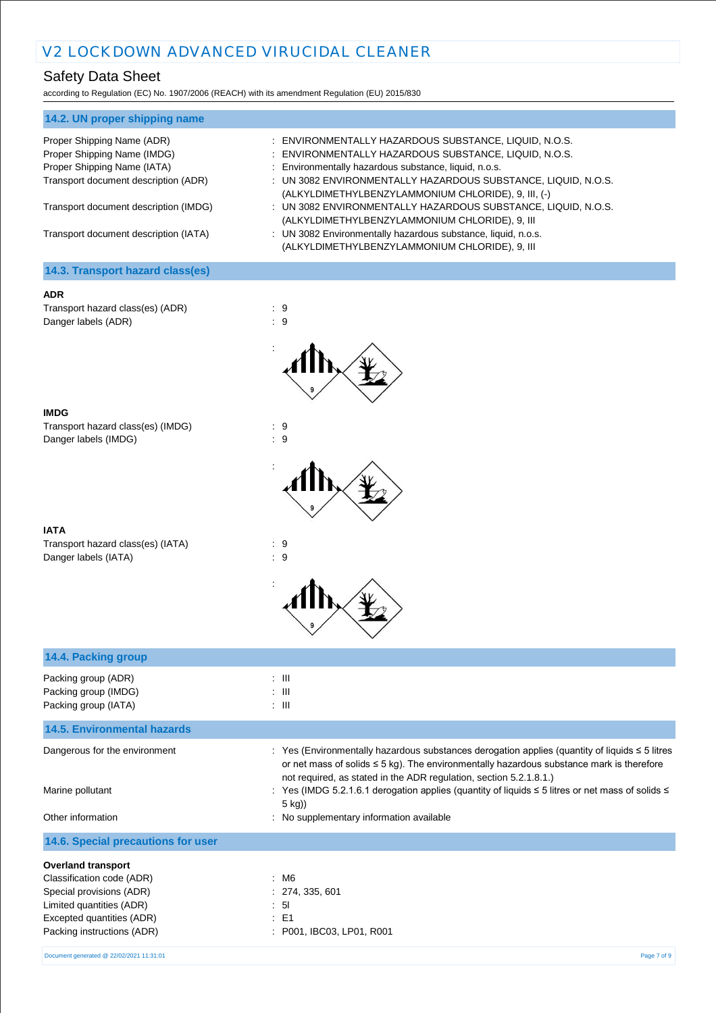according to Regulation (EC) No. 1907/2006 (REACH) with its amendment Regulation (EU) 2015/830

| 14.2. UN proper shipping name                                       |                                                                                                                                                                         |
|---------------------------------------------------------------------|-------------------------------------------------------------------------------------------------------------------------------------------------------------------------|
| Proper Shipping Name (ADR)<br>Proper Shipping Name (IMDG)           | : ENVIRONMENTALLY HAZARDOUS SUBSTANCE, LIQUID, N.O.S.<br>: ENVIRONMENTALLY HAZARDOUS SUBSTANCE, LIQUID, N.O.S.<br>: Environmentally hazardous substance, liquid, n.o.s. |
| Proper Shipping Name (IATA)<br>Transport document description (ADR) | : UN 3082 ENVIRONMENTALLY HAZARDOUS SUBSTANCE, LIQUID, N.O.S.<br>(ALKYLDIMETHYLBENZYLAMMONIUM CHLORIDE), 9, III, (-)                                                    |
| Transport document description (IMDG)                               | : UN 3082 ENVIRONMENTALLY HAZARDOUS SUBSTANCE, LIQUID, N.O.S.<br>(ALKYLDIMETHYLBENZYLAMMONIUM CHLORIDE), 9, III                                                         |
| Transport document description (IATA)                               | : UN 3082 Environmentally hazardous substance, liquid, n.o.s.<br>(ALKYLDIMETHYLBENZYLAMMONIUM CHLORIDE), 9, III                                                         |
| 14.3. Transport hazard class(es)                                    |                                                                                                                                                                         |

#### **ADR**

Transport hazard class(es) (ADR) : 9 Danger labels (ADR)  $\qquad \qquad$  : 9



:

| IMDG                              |           |
|-----------------------------------|-----------|
| Transport hazard class(es) (IMDG) | : 9       |
| Danger labels (IMDG)              | $\cdot$ 9 |

| IATA                              |     |  |
|-----------------------------------|-----|--|
| Transport hazard class(es) (IATA) | : 9 |  |
| Danger labels (IATA)              | : 9 |  |



| 14.4. Packing group                                                 |                                                                                                                                                                                                                                                                            |
|---------------------------------------------------------------------|----------------------------------------------------------------------------------------------------------------------------------------------------------------------------------------------------------------------------------------------------------------------------|
| Packing group (ADR)<br>Packing group (IMDG)<br>Packing group (IATA) | $\therefore$ $\blacksquare$<br>$\therefore$ $\blacksquare$<br>$\therefore$ III                                                                                                                                                                                             |
| <b>14.5. Environmental hazards</b>                                  |                                                                                                                                                                                                                                                                            |
| Dangerous for the environment                                       | : Yes (Environmentally hazardous substances derogation applies (quantity of liquids $\leq$ 5 litres<br>or net mass of solids $\leq$ 5 kg). The environmentally hazardous substance mark is therefore<br>not required, as stated in the ADR regulation, section 5.2.1.8.1.) |
| Marine pollutant                                                    | : Yes (IMDG 5.2.1.6.1 derogation applies (quantity of liquids ≤ 5 litres or net mass of solids ≤<br>5 kg))                                                                                                                                                                 |
| Other information                                                   | : No supplementary information available                                                                                                                                                                                                                                   |
| 14.6. Special precautions for user                                  |                                                                                                                                                                                                                                                                            |
| <b>Overland transport</b>                                           |                                                                                                                                                                                                                                                                            |
| Classification code (ADR)                                           | : M6                                                                                                                                                                                                                                                                       |
| Special provisions (ADR)                                            | : 274, 335, 601                                                                                                                                                                                                                                                            |
| Limited quantities (ADR)                                            | : 51                                                                                                                                                                                                                                                                       |
| Excepted quantities (ADR)                                           | $\therefore$ E1                                                                                                                                                                                                                                                            |
| Packing instructions (ADR)                                          | : P001, IBC03, LP01, R001                                                                                                                                                                                                                                                  |
| Document generated @ 22/02/2021 11:31:01                            | Page 7 of 9                                                                                                                                                                                                                                                                |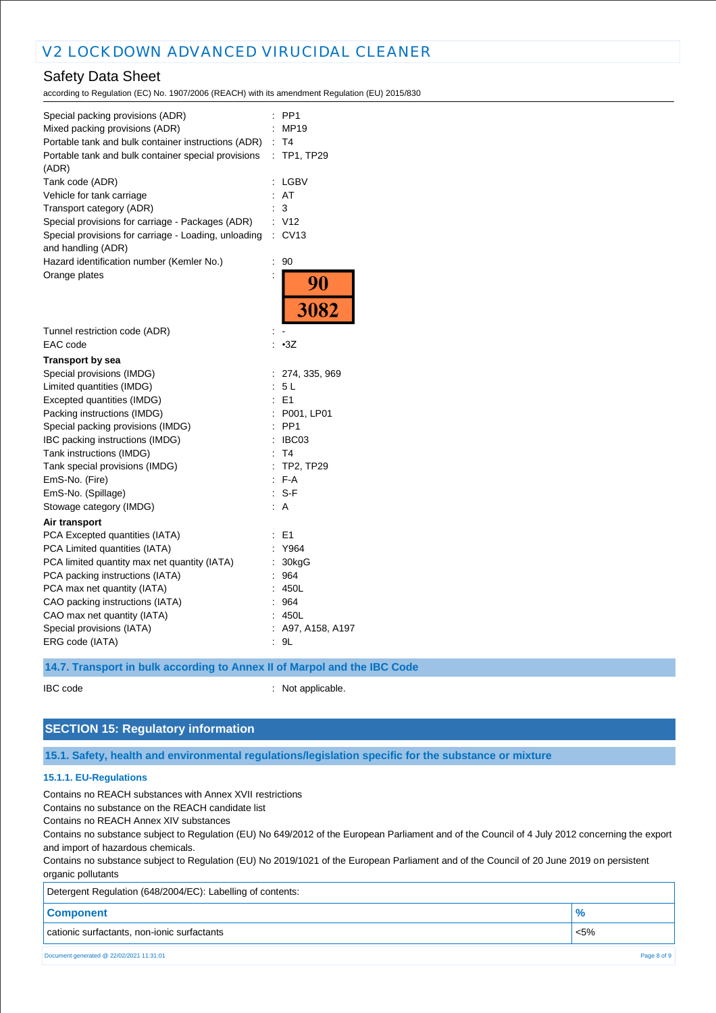according to Regulation (EC) No. 1907/2006 (REACH) with its amendment Regulation (EU) 2015/830

| Special packing provisions (ADR)<br>Mixed packing provisions (ADR)<br>Portable tank and bulk container instructions (ADR)<br>Portable tank and bulk container special provisions |                      | PP <sub>1</sub><br>MP19<br>: T4<br>: TP1, TP29 |
|----------------------------------------------------------------------------------------------------------------------------------------------------------------------------------|----------------------|------------------------------------------------|
| (ADR)<br>Tank code (ADR)                                                                                                                                                         | $\ddot{\phantom{a}}$ | LGBV                                           |
| Vehicle for tank carriage                                                                                                                                                        | ÷.                   | AT                                             |
| Transport category (ADR)                                                                                                                                                         |                      | 3                                              |
| Special provisions for carriage - Packages (ADR)                                                                                                                                 |                      | : V12                                          |
| Special provisions for carriage - Loading, unloading<br>and handling (ADR)                                                                                                       | $\ddot{\phantom{a}}$ | CV13                                           |
| Hazard identification number (Kemler No.)                                                                                                                                        | $\ddot{\cdot}$       | 90                                             |
| Orange plates                                                                                                                                                                    |                      | 90                                             |
|                                                                                                                                                                                  |                      | 3082                                           |
| Tunnel restriction code (ADR)                                                                                                                                                    |                      |                                                |
| EAC code                                                                                                                                                                         |                      | $-3Z$                                          |
| Transport by sea                                                                                                                                                                 |                      |                                                |
| Special provisions (IMDG)                                                                                                                                                        |                      | : 274, 335, 969                                |
| Limited quantities (IMDG)                                                                                                                                                        |                      | 5L                                             |
| Excepted quantities (IMDG)                                                                                                                                                       | ÷                    | E1                                             |
| Packing instructions (IMDG)                                                                                                                                                      |                      | P001, LP01                                     |
| Special packing provisions (IMDG)                                                                                                                                                |                      | PP <sub>1</sub>                                |
| IBC packing instructions (IMDG)                                                                                                                                                  | ÷.                   | IBC03                                          |
| Tank instructions (IMDG)                                                                                                                                                         | ÷                    | T <sub>4</sub>                                 |
| Tank special provisions (IMDG)                                                                                                                                                   | ÷                    | TP2, TP29                                      |
| EmS-No. (Fire)                                                                                                                                                                   | ÷                    | F-A                                            |
| EmS-No. (Spillage)                                                                                                                                                               |                      | S-F                                            |
| Stowage category (IMDG)                                                                                                                                                          | ÷.                   | A                                              |
| Air transport                                                                                                                                                                    |                      |                                                |
| PCA Excepted quantities (IATA)                                                                                                                                                   |                      | E <sub>1</sub>                                 |
| PCA Limited quantities (IATA)                                                                                                                                                    |                      | Y964                                           |
| PCA limited quantity max net quantity (IATA)                                                                                                                                     |                      | 30kgG                                          |
| PCA packing instructions (IATA)                                                                                                                                                  |                      | 964                                            |
| PCA max net quantity (IATA)                                                                                                                                                      |                      | 450L                                           |
| CAO packing instructions (IATA)                                                                                                                                                  |                      | 964                                            |
| CAO max net quantity (IATA)                                                                                                                                                      |                      | 450L                                           |
| Special provisions (IATA)                                                                                                                                                        |                      | : A97, A158, A197                              |
| ERG code (IATA)                                                                                                                                                                  | ÷                    | 9L                                             |
|                                                                                                                                                                                  |                      |                                                |

**14.7. Transport in bulk according to Annex II of Marpol and the IBC Code**

IBC code : Not applicable.

### **SECTION 15: Regulatory information**

#### **15.1. Safety, health and environmental regulations/legislation specific for the substance or mixture**

#### **15.1.1. EU-Regulations**

Contains no REACH substances with Annex XVII restrictions

Contains no substance on the REACH candidate list

Contains no REACH Annex XIV substances

Contains no substance subject to Regulation (EU) No 649/2012 of the European Parliament and of the Council of 4 July 2012 concerning the export and import of hazardous chemicals.

Contains no substance subject to Regulation (EU) No 2019/1021 of the European Parliament and of the Council of 20 June 2019 on persistent organic pollutants

| Detergent Regulation (648/2004/EC): Labelling of contents: |               |
|------------------------------------------------------------|---------------|
| <b>Component</b>                                           | $\frac{9}{6}$ |
| cationic surfactants, non-ionic surfactants                | $\sim$ 5%     |
| Document generated @ 22/02/2021 11:31:01                   | Page 8 of 9   |